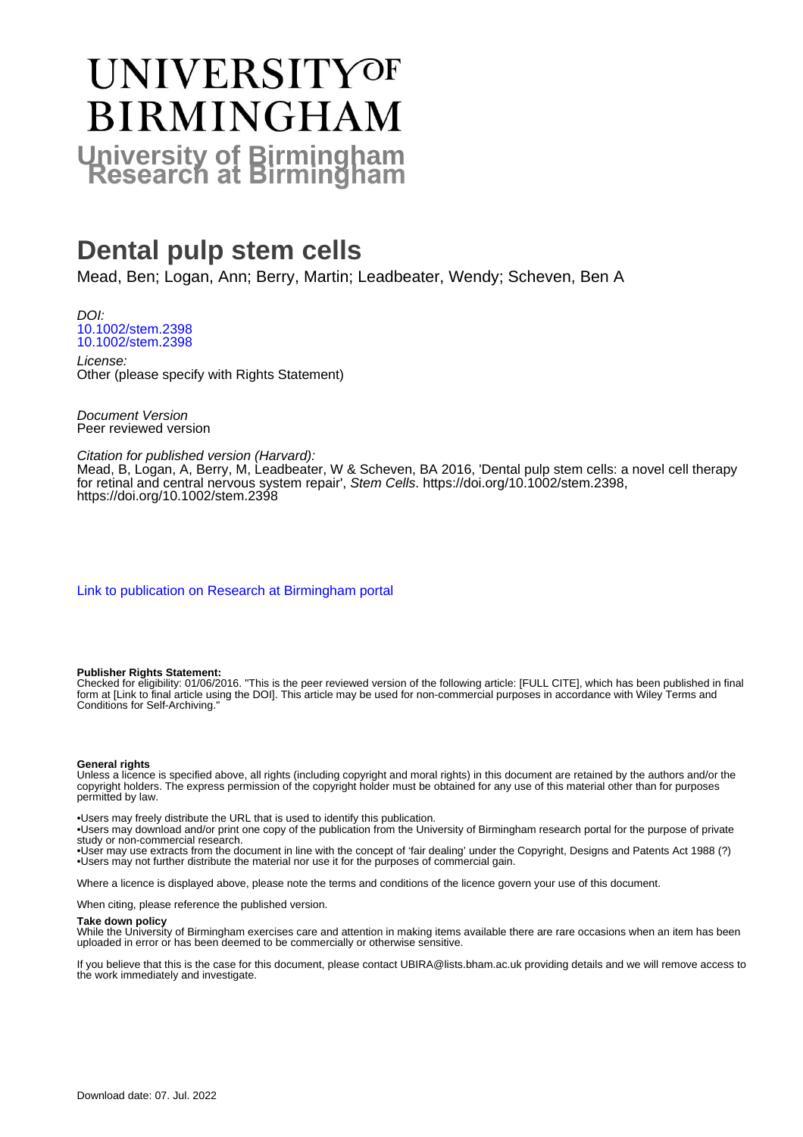# UNIVERSITYOF **BIRMINGHAM University of Birmingham**

## **Dental pulp stem cells**

Mead, Ben; Logan, Ann; Berry, Martin; Leadbeater, Wendy; Scheven, Ben A

DOI: [10.1002/stem.2398](https://doi.org/10.1002/stem.2398) [10.1002/stem.2398](https://doi.org/10.1002/stem.2398)

License: Other (please specify with Rights Statement)

Document Version Peer reviewed version

Citation for published version (Harvard): Mead, B, Logan, A, Berry, M, Leadbeater, W & Scheven, BA 2016, 'Dental pulp stem cells: a novel cell therapy for retinal and central nervous system repair', Stem Cells.<https://doi.org/10.1002/stem.2398>, <https://doi.org/10.1002/stem.2398>

[Link to publication on Research at Birmingham portal](https://birmingham.elsevierpure.com/en/publications/58b63318-6b34-4e75-b413-771a4cf29e1e)

#### **Publisher Rights Statement:**

Checked for eligibility: 01/06/2016. "This is the peer reviewed version of the following article: [FULL CITE], which has been published in final form at [Link to final article using the DOI]. This article may be used for non-commercial purposes in accordance with Wiley Terms and Conditions for Self-Archiving."

#### **General rights**

Unless a licence is specified above, all rights (including copyright and moral rights) in this document are retained by the authors and/or the copyright holders. The express permission of the copyright holder must be obtained for any use of this material other than for purposes permitted by law.

• Users may freely distribute the URL that is used to identify this publication.

• Users may download and/or print one copy of the publication from the University of Birmingham research portal for the purpose of private study or non-commercial research.

• User may use extracts from the document in line with the concept of 'fair dealing' under the Copyright, Designs and Patents Act 1988 (?) • Users may not further distribute the material nor use it for the purposes of commercial gain.

Where a licence is displayed above, please note the terms and conditions of the licence govern your use of this document.

When citing, please reference the published version.

#### **Take down policy**

While the University of Birmingham exercises care and attention in making items available there are rare occasions when an item has been uploaded in error or has been deemed to be commercially or otherwise sensitive.

If you believe that this is the case for this document, please contact UBIRA@lists.bham.ac.uk providing details and we will remove access to the work immediately and investigate.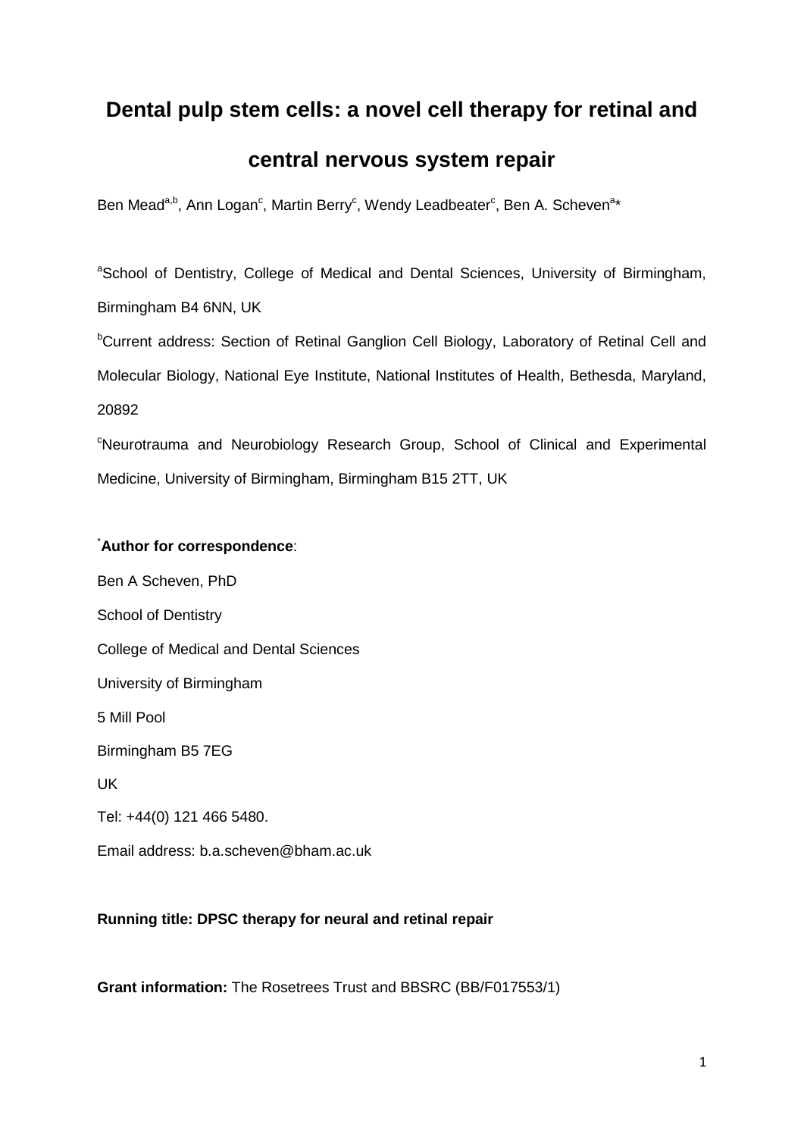## **Dental pulp stem cells: a novel cell therapy for retinal and**

## **central nervous system repair**

Ben Mead<sup>a,b</sup>, Ann Logan<sup>c</sup>, Martin Berry<sup>c</sup>, Wendy Leadbeater<sup>c</sup>, Ben A. Scheven<sup>a\*</sup>

<sup>a</sup>School of Dentistry, College of Medical and Dental Sciences, University of Birmingham, Birmingham B4 6NN, UK

<sup>b</sup>Current address: Section of Retinal Ganglion Cell Biology, Laboratory of Retinal Cell and Molecular Biology, National Eye Institute, National Institutes of Health, Bethesda, Maryland, 20892

<sup>c</sup>Neurotrauma and Neurobiology Research Group, School of Clinical and Experimental Medicine, University of Birmingham, Birmingham B15 2TT, UK

#### \* **Author for correspondence**:

Ben A Scheven, PhD School of Dentistry College of Medical and Dental Sciences University of Birmingham 5 Mill Pool Birmingham B5 7EG UK Tel: +44(0) 121 466 5480. Email address: b.a.scheven@bham.ac.uk

#### **Running title: DPSC therapy for neural and retinal repair**

**Grant information:** The Rosetrees Trust and BBSRC (BB/F017553/1)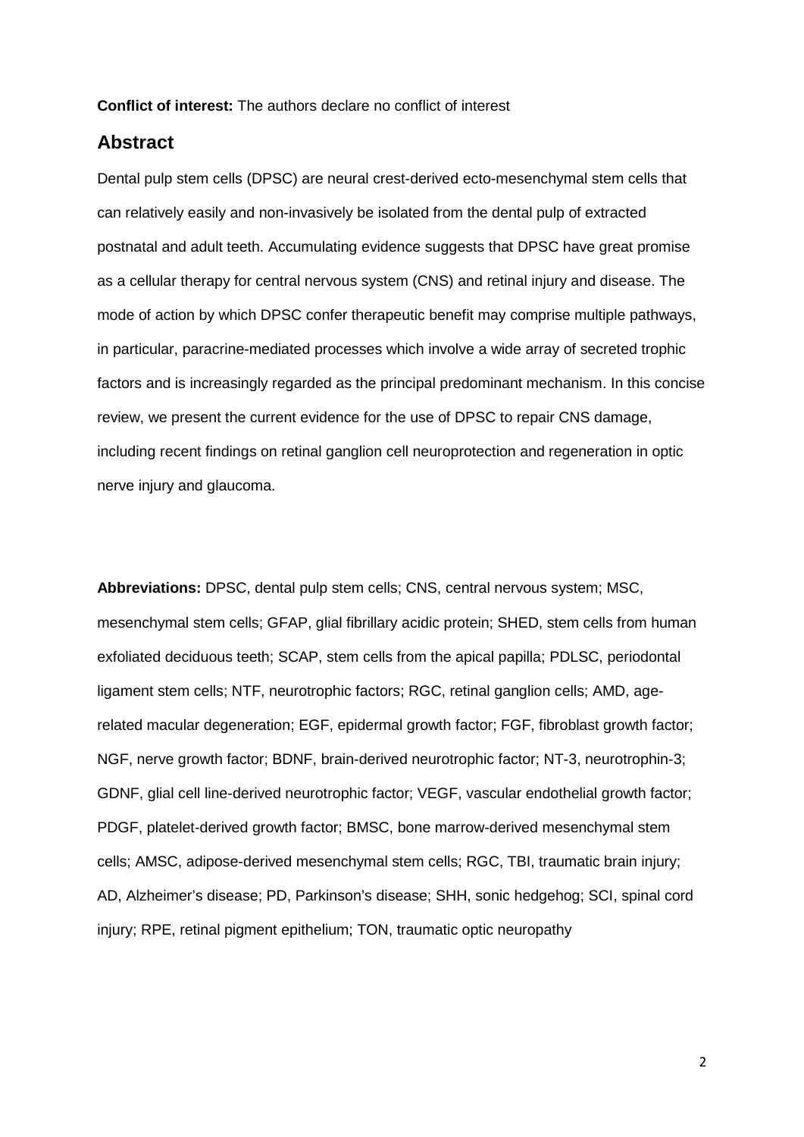#### **Conflict of interest:** The authors declare no conflict of interest

## **Abstract**

Dental pulp stem cells (DPSC) are neural crest-derived ecto-mesenchymal stem cells that can relatively easily and non-invasively be isolated from the dental pulp of extracted postnatal and adult teeth. Accumulating evidence suggests that DPSC have great promise as a cellular therapy for central nervous system (CNS) and retinal injury and disease. The mode of action by which DPSC confer therapeutic benefit may comprise multiple pathways, in particular, paracrine-mediated processes which involve a wide array of secreted trophic factors and is increasingly regarded as the principal predominant mechanism. In this concise review, we present the current evidence for the use of DPSC to repair CNS damage, including recent findings on retinal ganglion cell neuroprotection and regeneration in optic nerve injury and glaucoma.

**Abbreviations:** DPSC, dental pulp stem cells; CNS, central nervous system; MSC, mesenchymal stem cells; GFAP, glial fibrillary acidic protein; SHED, stem cells from human exfoliated deciduous teeth; SCAP, stem cells from the apical papilla; PDLSC, periodontal ligament stem cells; NTF, neurotrophic factors; RGC, retinal ganglion cells; AMD, agerelated macular degeneration; EGF, epidermal growth factor; FGF, fibroblast growth factor; NGF, nerve growth factor; BDNF, brain-derived neurotrophic factor; NT-3, neurotrophin-3; GDNF, glial cell line-derived neurotrophic factor; VEGF, vascular endothelial growth factor; PDGF, platelet-derived growth factor; BMSC, bone marrow-derived mesenchymal stem cells; AMSC, adipose-derived mesenchymal stem cells; RGC, TBI, traumatic brain injury; AD, Alzheimer's disease; PD, Parkinson's disease; SHH, sonic hedgehog; SCI, spinal cord injury; RPE, retinal pigment epithelium; TON, traumatic optic neuropathy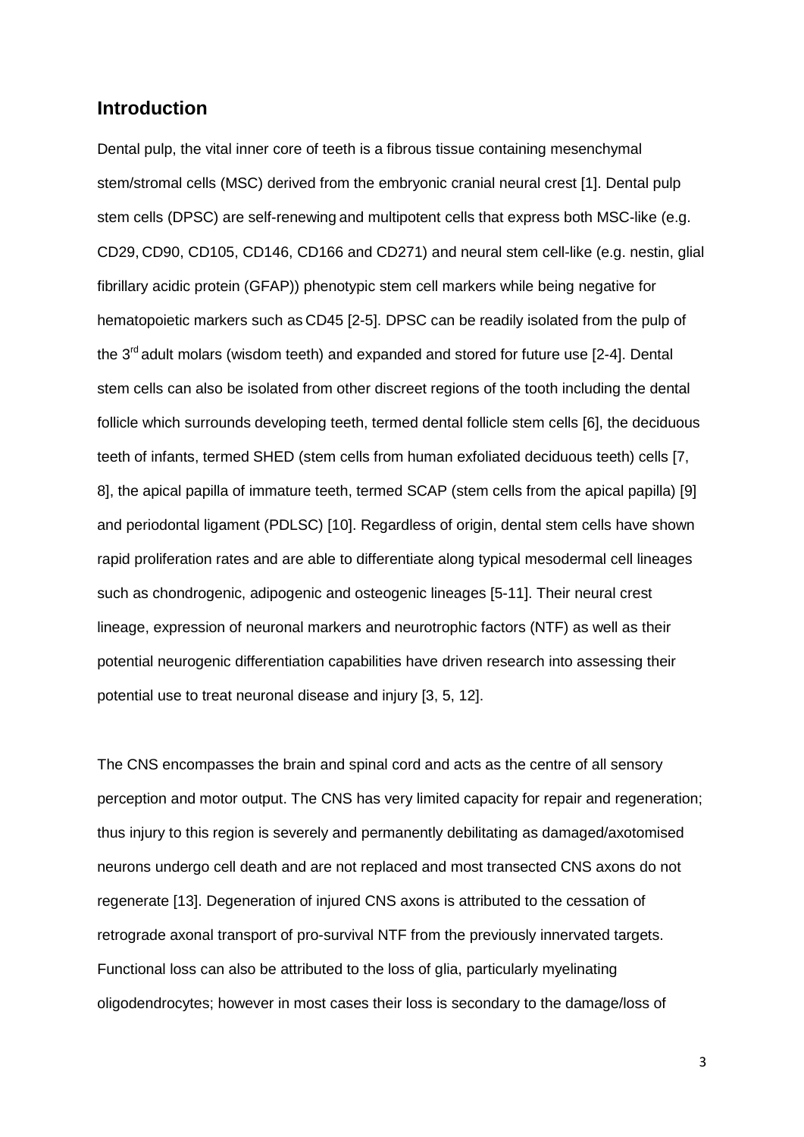#### **Introduction**

Dental pulp, the vital inner core of teeth is a fibrous tissue containing mesenchymal stem/stromal cells (MSC) derived from the embryonic cranial neural crest [1]. Dental pulp stem cells (DPSC) are self-renewing and multipotent cells that express both MSC-like (e.g. CD29, CD90, CD105, CD146, CD166 and CD271) and neural stem cell-like (e.g. nestin, glial fibrillary acidic protein (GFAP)) phenotypic stem cell markers while being negative for hematopoietic markers such as CD45 [2-5]. DPSC can be readily isolated from the pulp of the  $3<sup>rd</sup>$  adult molars (wisdom teeth) and expanded and stored for future use [2-4]. Dental stem cells can also be isolated from other discreet regions of the tooth including the dental follicle which surrounds developing teeth, termed dental follicle stem cells [6], the deciduous teeth of infants, termed SHED (stem cells from human exfoliated deciduous teeth) cells [7, 8], the apical papilla of immature teeth, termed SCAP (stem cells from the apical papilla) [9] and periodontal ligament (PDLSC) [10]. Regardless of origin, dental stem cells have shown rapid proliferation rates and are able to differentiate along typical mesodermal cell lineages such as chondrogenic, adipogenic and osteogenic lineages [5-11]. Their neural crest lineage, expression of neuronal markers and neurotrophic factors (NTF) as well as their potential neurogenic differentiation capabilities have driven research into assessing their potential use to treat neuronal disease and injury [3, 5, 12].

The CNS encompasses the brain and spinal cord and acts as the centre of all sensory perception and motor output. The CNS has very limited capacity for repair and regeneration; thus injury to this region is severely and permanently debilitating as damaged/axotomised neurons undergo cell death and are not replaced and most transected CNS axons do not regenerate [13]. Degeneration of injured CNS axons is attributed to the cessation of retrograde axonal transport of pro-survival NTF from the previously innervated targets. Functional loss can also be attributed to the loss of glia, particularly myelinating oligodendrocytes; however in most cases their loss is secondary to the damage/loss of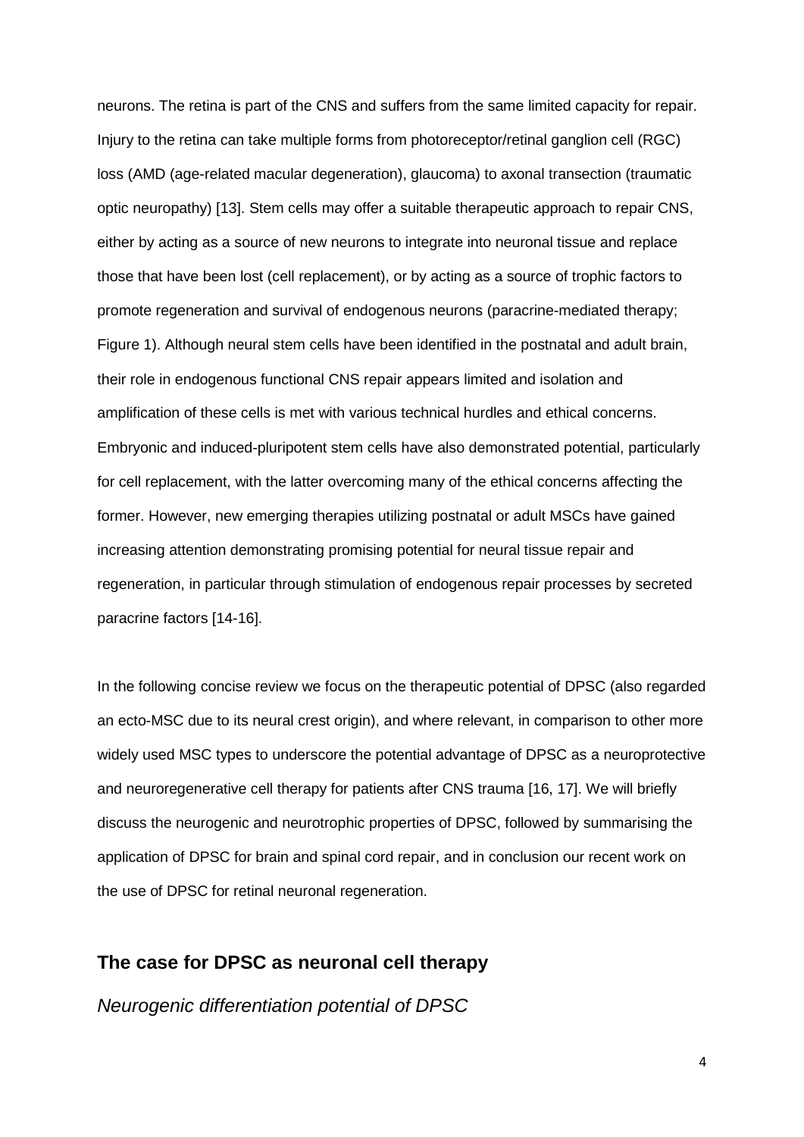neurons. The retina is part of the CNS and suffers from the same limited capacity for repair. Injury to the retina can take multiple forms from photoreceptor/retinal ganglion cell (RGC) loss (AMD (age-related macular degeneration), glaucoma) to axonal transection (traumatic optic neuropathy) [13]. Stem cells may offer a suitable therapeutic approach to repair CNS, either by acting as a source of new neurons to integrate into neuronal tissue and replace those that have been lost (cell replacement), or by acting as a source of trophic factors to promote regeneration and survival of endogenous neurons (paracrine-mediated therapy; Figure 1). Although neural stem cells have been identified in the postnatal and adult brain, their role in endogenous functional CNS repair appears limited and isolation and amplification of these cells is met with various technical hurdles and ethical concerns. Embryonic and induced-pluripotent stem cells have also demonstrated potential, particularly for cell replacement, with the latter overcoming many of the ethical concerns affecting the former. However, new emerging therapies utilizing postnatal or adult MSCs have gained increasing attention demonstrating promising potential for neural tissue repair and regeneration, in particular through stimulation of endogenous repair processes by secreted paracrine factors [14-16].

In the following concise review we focus on the therapeutic potential of DPSC (also regarded an ecto-MSC due to its neural crest origin), and where relevant, in comparison to other more widely used MSC types to underscore the potential advantage of DPSC as a neuroprotective and neuroregenerative cell therapy for patients after CNS trauma [16, 17]. We will briefly discuss the neurogenic and neurotrophic properties of DPSC, followed by summarising the application of DPSC for brain and spinal cord repair, and in conclusion our recent work on the use of DPSC for retinal neuronal regeneration.

#### **The case for DPSC as neuronal cell therapy**

*Neurogenic differentiation potential of DPSC*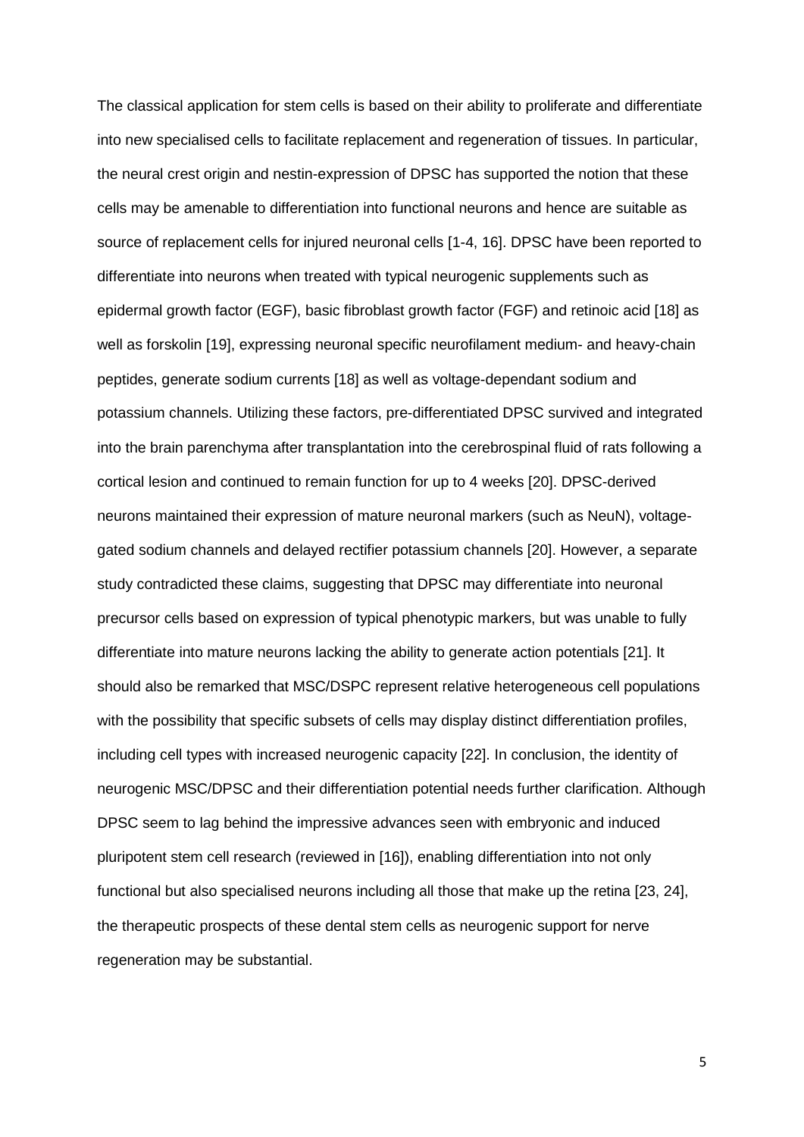The classical application for stem cells is based on their ability to proliferate and differentiate into new specialised cells to facilitate replacement and regeneration of tissues. In particular, the neural crest origin and nestin-expression of DPSC has supported the notion that these cells may be amenable to differentiation into functional neurons and hence are suitable as source of replacement cells for injured neuronal cells [1-4, 16]. DPSC have been reported to differentiate into neurons when treated with typical neurogenic supplements such as epidermal growth factor (EGF), basic fibroblast growth factor (FGF) and retinoic acid [18] as well as forskolin [19], expressing neuronal specific neurofilament medium- and heavy-chain peptides, generate sodium currents [18] as well as voltage-dependant sodium and potassium channels. Utilizing these factors, pre-differentiated DPSC survived and integrated into the brain parenchyma after transplantation into the cerebrospinal fluid of rats following a cortical lesion and continued to remain function for up to 4 weeks [20]. DPSC-derived neurons maintained their expression of mature neuronal markers (such as NeuN), voltagegated sodium channels and delayed rectifier potassium channels [20]. However, a separate study contradicted these claims, suggesting that DPSC may differentiate into neuronal precursor cells based on expression of typical phenotypic markers, but was unable to fully differentiate into mature neurons lacking the ability to generate action potentials [21]. It should also be remarked that MSC/DSPC represent relative heterogeneous cell populations with the possibility that specific subsets of cells may display distinct differentiation profiles, including cell types with increased neurogenic capacity [22]. In conclusion, the identity of neurogenic MSC/DPSC and their differentiation potential needs further clarification. Although DPSC seem to lag behind the impressive advances seen with embryonic and induced pluripotent stem cell research (reviewed in [16]), enabling differentiation into not only functional but also specialised neurons including all those that make up the retina [23, 24], the therapeutic prospects of these dental stem cells as neurogenic support for nerve regeneration may be substantial.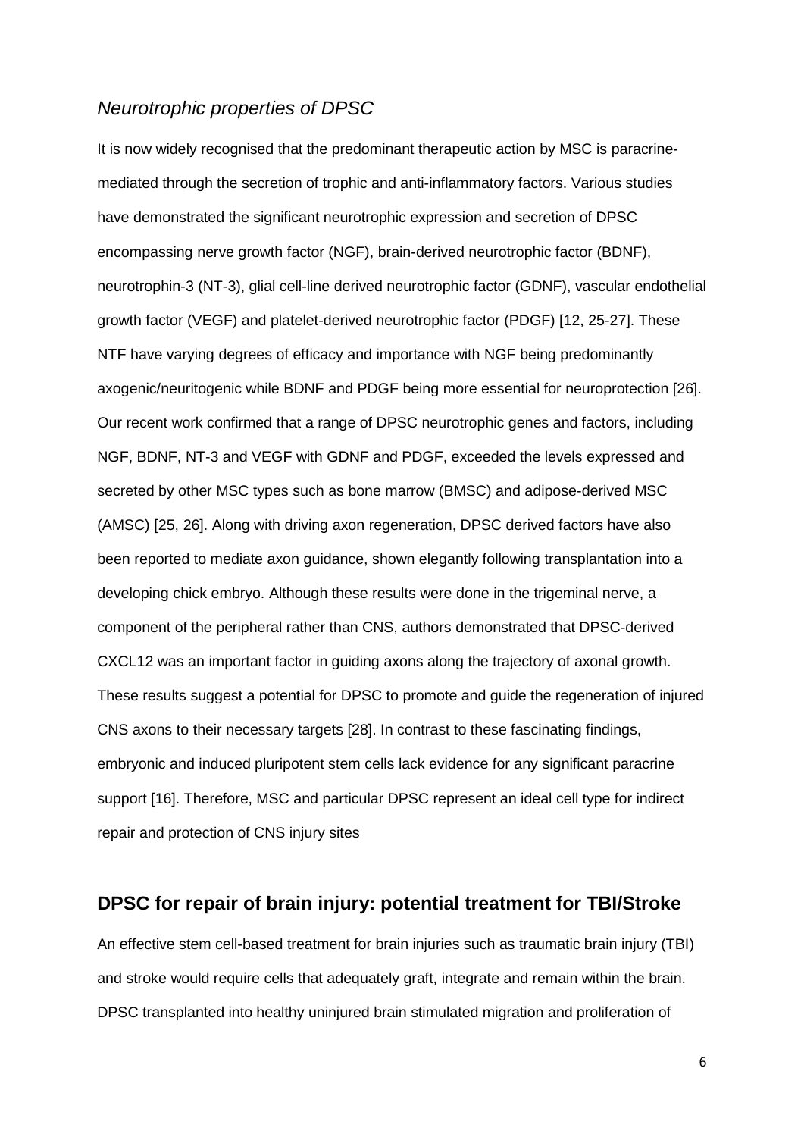#### *Neurotrophic properties of DPSC*

It is now widely recognised that the predominant therapeutic action by MSC is paracrinemediated through the secretion of trophic and anti-inflammatory factors. Various studies have demonstrated the significant neurotrophic expression and secretion of DPSC encompassing nerve growth factor (NGF), brain-derived neurotrophic factor (BDNF), neurotrophin-3 (NT-3), glial cell-line derived neurotrophic factor (GDNF), vascular endothelial growth factor (VEGF) and platelet-derived neurotrophic factor (PDGF) [12, 25-27]. These NTF have varying degrees of efficacy and importance with NGF being predominantly axogenic/neuritogenic while BDNF and PDGF being more essential for neuroprotection [26]. Our recent work confirmed that a range of DPSC neurotrophic genes and factors, including NGF, BDNF, NT-3 and VEGF with GDNF and PDGF, exceeded the levels expressed and secreted by other MSC types such as bone marrow (BMSC) and adipose-derived MSC (AMSC) [25, 26]. Along with driving axon regeneration, DPSC derived factors have also been reported to mediate axon guidance, shown elegantly following transplantation into a developing chick embryo. Although these results were done in the trigeminal nerve, a component of the peripheral rather than CNS, authors demonstrated that DPSC-derived CXCL12 was an important factor in guiding axons along the trajectory of axonal growth. These results suggest a potential for DPSC to promote and guide the regeneration of injured CNS axons to their necessary targets [28]. In contrast to these fascinating findings, embryonic and induced pluripotent stem cells lack evidence for any significant paracrine support [16]. Therefore, MSC and particular DPSC represent an ideal cell type for indirect repair and protection of CNS injury sites

#### **DPSC for repair of brain injury: potential treatment for TBI/Stroke**

An effective stem cell-based treatment for brain injuries such as traumatic brain injury (TBI) and stroke would require cells that adequately graft, integrate and remain within the brain. DPSC transplanted into healthy uninjured brain stimulated migration and proliferation of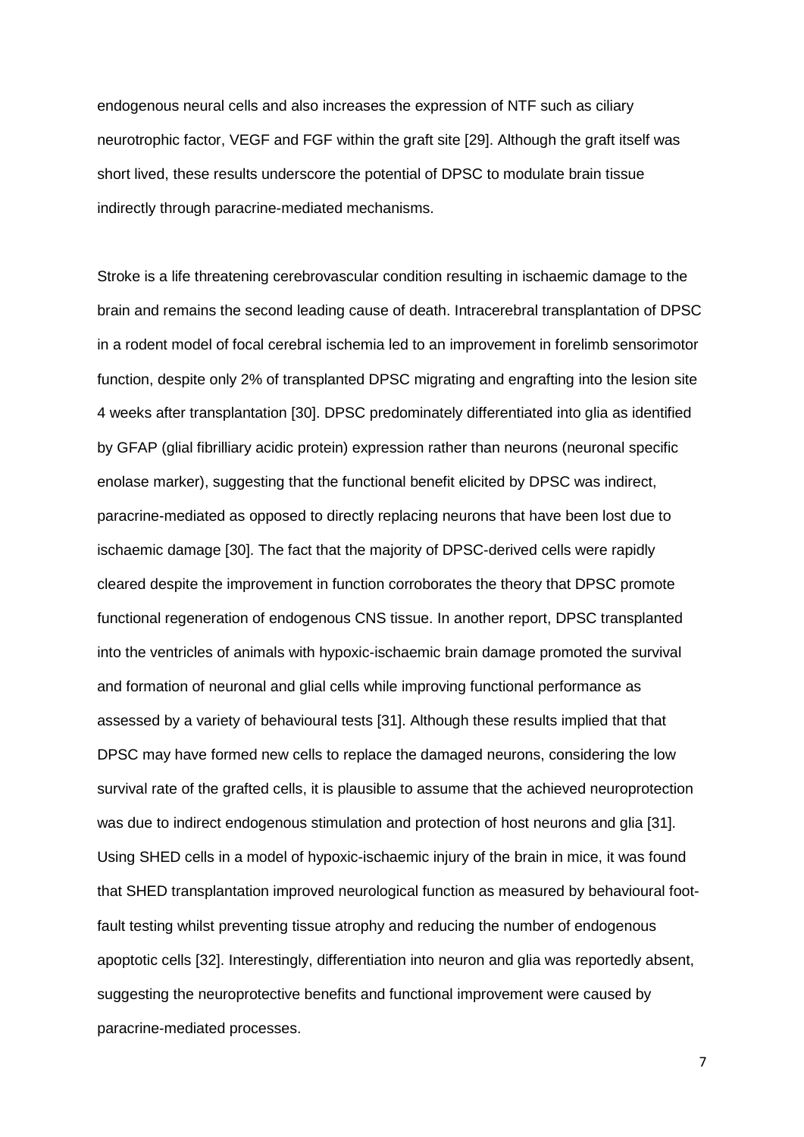endogenous neural cells and also increases the expression of NTF such as ciliary neurotrophic factor, VEGF and FGF within the graft site [29]. Although the graft itself was short lived, these results underscore the potential of DPSC to modulate brain tissue indirectly through paracrine-mediated mechanisms.

Stroke is a life threatening cerebrovascular condition resulting in ischaemic damage to the brain and remains the second leading cause of death. Intracerebral transplantation of DPSC in a rodent model of focal cerebral ischemia led to an improvement in forelimb sensorimotor function, despite only 2% of transplanted DPSC migrating and engrafting into the lesion site 4 weeks after transplantation [30]. DPSC predominately differentiated into glia as identified by GFAP (glial fibrilliary acidic protein) expression rather than neurons (neuronal specific enolase marker), suggesting that the functional benefit elicited by DPSC was indirect, paracrine-mediated as opposed to directly replacing neurons that have been lost due to ischaemic damage [30]. The fact that the majority of DPSC-derived cells were rapidly cleared despite the improvement in function corroborates the theory that DPSC promote functional regeneration of endogenous CNS tissue. In another report, DPSC transplanted into the ventricles of animals with hypoxic-ischaemic brain damage promoted the survival and formation of neuronal and glial cells while improving functional performance as assessed by a variety of behavioural tests [31]. Although these results implied that that DPSC may have formed new cells to replace the damaged neurons, considering the low survival rate of the grafted cells, it is plausible to assume that the achieved neuroprotection was due to indirect endogenous stimulation and protection of host neurons and glia [31]. Using SHED cells in a model of hypoxic-ischaemic injury of the brain in mice, it was found that SHED transplantation improved neurological function as measured by behavioural footfault testing whilst preventing tissue atrophy and reducing the number of endogenous apoptotic cells [32]. Interestingly, differentiation into neuron and glia was reportedly absent, suggesting the neuroprotective benefits and functional improvement were caused by paracrine-mediated processes.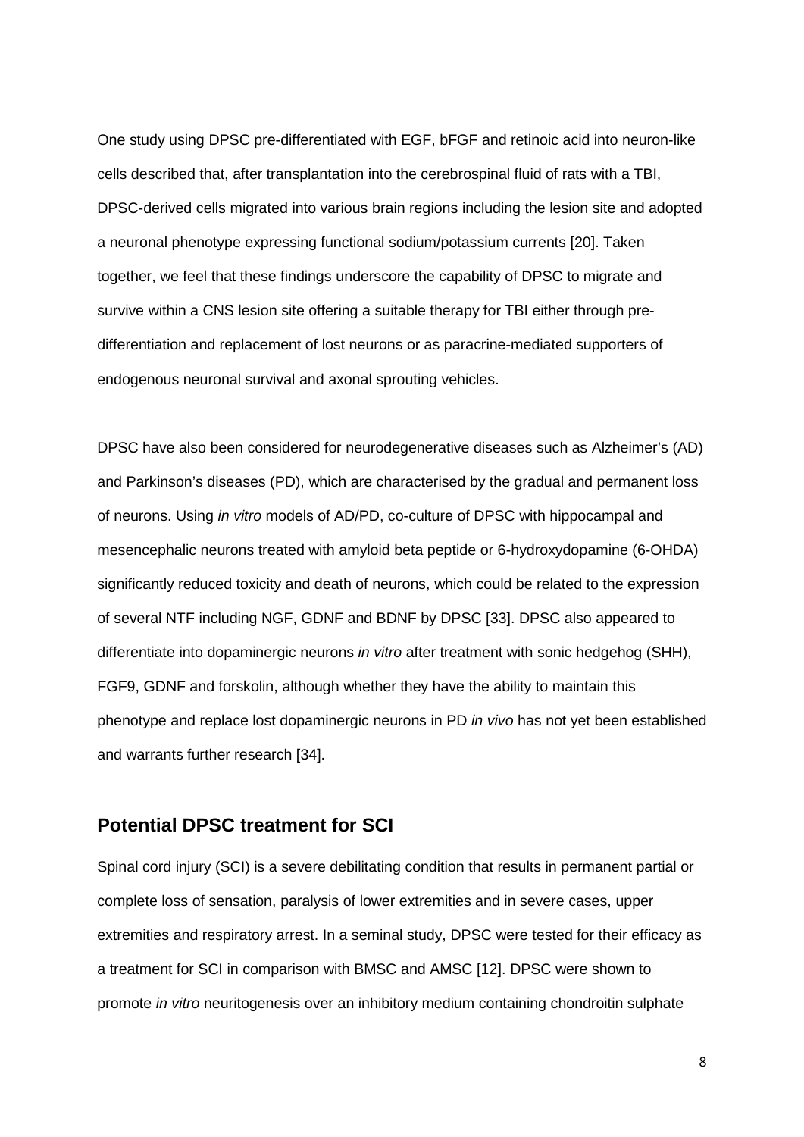One study using DPSC pre-differentiated with EGF, bFGF and retinoic acid into neuron-like cells described that, after transplantation into the cerebrospinal fluid of rats with a TBI, DPSC-derived cells migrated into various brain regions including the lesion site and adopted a neuronal phenotype expressing functional sodium/potassium currents [20]. Taken together, we feel that these findings underscore the capability of DPSC to migrate and survive within a CNS lesion site offering a suitable therapy for TBI either through predifferentiation and replacement of lost neurons or as paracrine-mediated supporters of endogenous neuronal survival and axonal sprouting vehicles.

DPSC have also been considered for neurodegenerative diseases such as Alzheimer's (AD) and Parkinson's diseases (PD), which are characterised by the gradual and permanent loss of neurons. Using *in vitro* models of AD/PD, co-culture of DPSC with hippocampal and mesencephalic neurons treated with amyloid beta peptide or 6-hydroxydopamine (6-OHDA) significantly reduced toxicity and death of neurons, which could be related to the expression of several NTF including NGF, GDNF and BDNF by DPSC [33]. DPSC also appeared to differentiate into dopaminergic neurons *in vitro* after treatment with sonic hedgehog (SHH), FGF9, GDNF and forskolin, although whether they have the ability to maintain this phenotype and replace lost dopaminergic neurons in PD *in vivo* has not yet been established and warrants further research [34].

#### **Potential DPSC treatment for SCI**

Spinal cord injury (SCI) is a severe debilitating condition that results in permanent partial or complete loss of sensation, paralysis of lower extremities and in severe cases, upper extremities and respiratory arrest. In a seminal study, DPSC were tested for their efficacy as a treatment for SCI in comparison with BMSC and AMSC [12]. DPSC were shown to promote *in vitro* neuritogenesis over an inhibitory medium containing chondroitin sulphate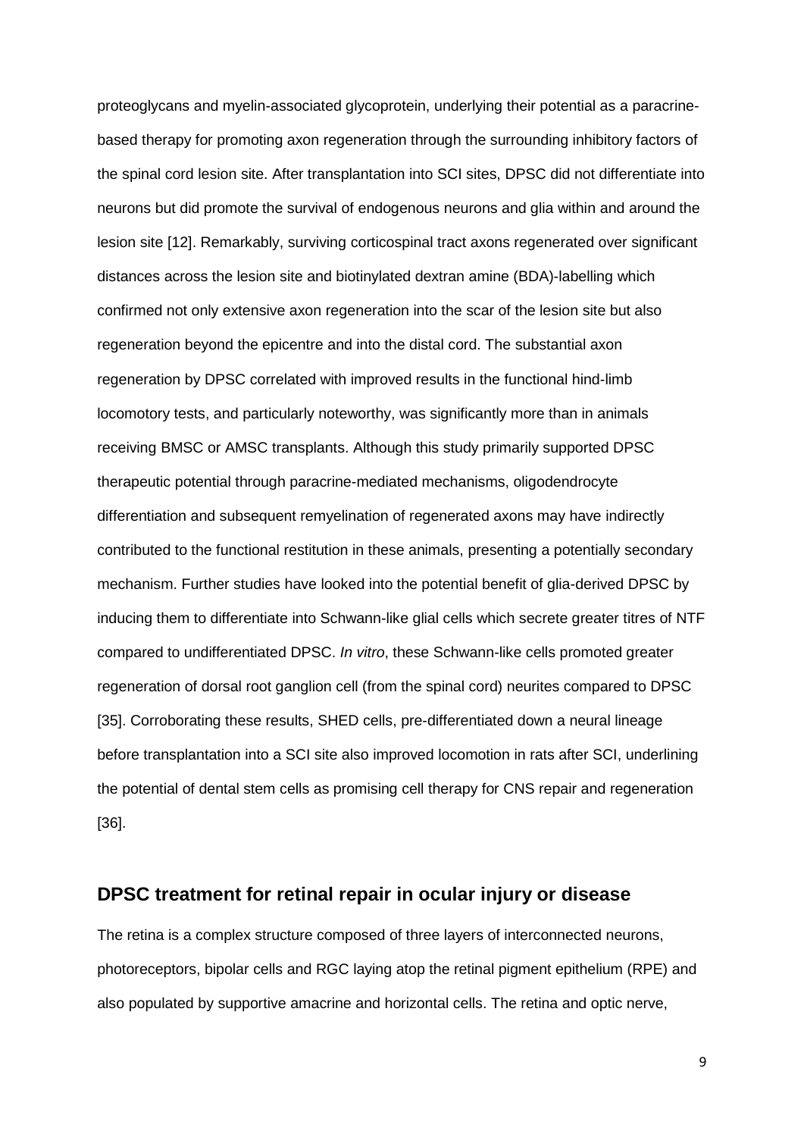proteoglycans and myelin-associated glycoprotein, underlying their potential as a paracrinebased therapy for promoting axon regeneration through the surrounding inhibitory factors of the spinal cord lesion site. After transplantation into SCI sites, DPSC did not differentiate into neurons but did promote the survival of endogenous neurons and glia within and around the lesion site [12]. Remarkably, surviving corticospinal tract axons regenerated over significant distances across the lesion site and biotinylated dextran amine (BDA)-labelling which confirmed not only extensive axon regeneration into the scar of the lesion site but also regeneration beyond the epicentre and into the distal cord. The substantial axon regeneration by DPSC correlated with improved results in the functional hind-limb locomotory tests, and particularly noteworthy, was significantly more than in animals receiving BMSC or AMSC transplants. Although this study primarily supported DPSC therapeutic potential through paracrine-mediated mechanisms, oligodendrocyte differentiation and subsequent remyelination of regenerated axons may have indirectly contributed to the functional restitution in these animals, presenting a potentially secondary mechanism. Further studies have looked into the potential benefit of glia-derived DPSC by inducing them to differentiate into Schwann-like glial cells which secrete greater titres of NTF compared to undifferentiated DPSC. *In vitro*, these Schwann-like cells promoted greater regeneration of dorsal root ganglion cell (from the spinal cord) neurites compared to DPSC [35]. Corroborating these results, SHED cells, pre-differentiated down a neural lineage before transplantation into a SCI site also improved locomotion in rats after SCI, underlining the potential of dental stem cells as promising cell therapy for CNS repair and regeneration [36].

#### **DPSC treatment for retinal repair in ocular injury or disease**

The retina is a complex structure composed of three layers of interconnected neurons, photoreceptors, bipolar cells and RGC laying atop the retinal pigment epithelium (RPE) and also populated by supportive amacrine and horizontal cells. The retina and optic nerve,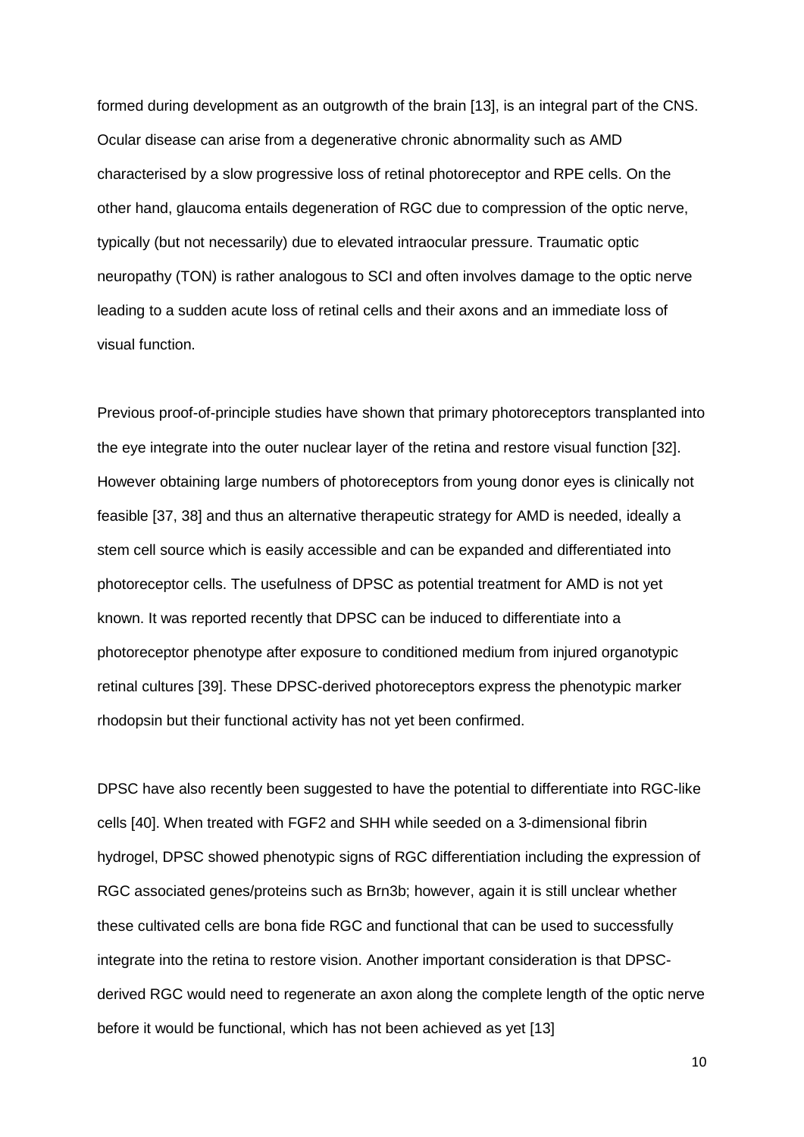formed during development as an outgrowth of the brain [13], is an integral part of the CNS. Ocular disease can arise from a degenerative chronic abnormality such as AMD characterised by a slow progressive loss of retinal photoreceptor and RPE cells. On the other hand, glaucoma entails degeneration of RGC due to compression of the optic nerve, typically (but not necessarily) due to elevated intraocular pressure. Traumatic optic neuropathy (TON) is rather analogous to SCI and often involves damage to the optic nerve leading to a sudden acute loss of retinal cells and their axons and an immediate loss of visual function.

Previous proof-of-principle studies have shown that primary photoreceptors transplanted into the eye integrate into the outer nuclear layer of the retina and restore visual function [32]. However obtaining large numbers of photoreceptors from young donor eyes is clinically not feasible [37, 38] and thus an alternative therapeutic strategy for AMD is needed, ideally a stem cell source which is easily accessible and can be expanded and differentiated into photoreceptor cells. The usefulness of DPSC as potential treatment for AMD is not yet known. It was reported recently that DPSC can be induced to differentiate into a photoreceptor phenotype after exposure to conditioned medium from injured organotypic retinal cultures [39]. These DPSC-derived photoreceptors express the phenotypic marker rhodopsin but their functional activity has not yet been confirmed.

DPSC have also recently been suggested to have the potential to differentiate into RGC-like cells [40]. When treated with FGF2 and SHH while seeded on a 3-dimensional fibrin hydrogel, DPSC showed phenotypic signs of RGC differentiation including the expression of RGC associated genes/proteins such as Brn3b; however, again it is still unclear whether these cultivated cells are bona fide RGC and functional that can be used to successfully integrate into the retina to restore vision. Another important consideration is that DPSCderived RGC would need to regenerate an axon along the complete length of the optic nerve before it would be functional, which has not been achieved as yet [13]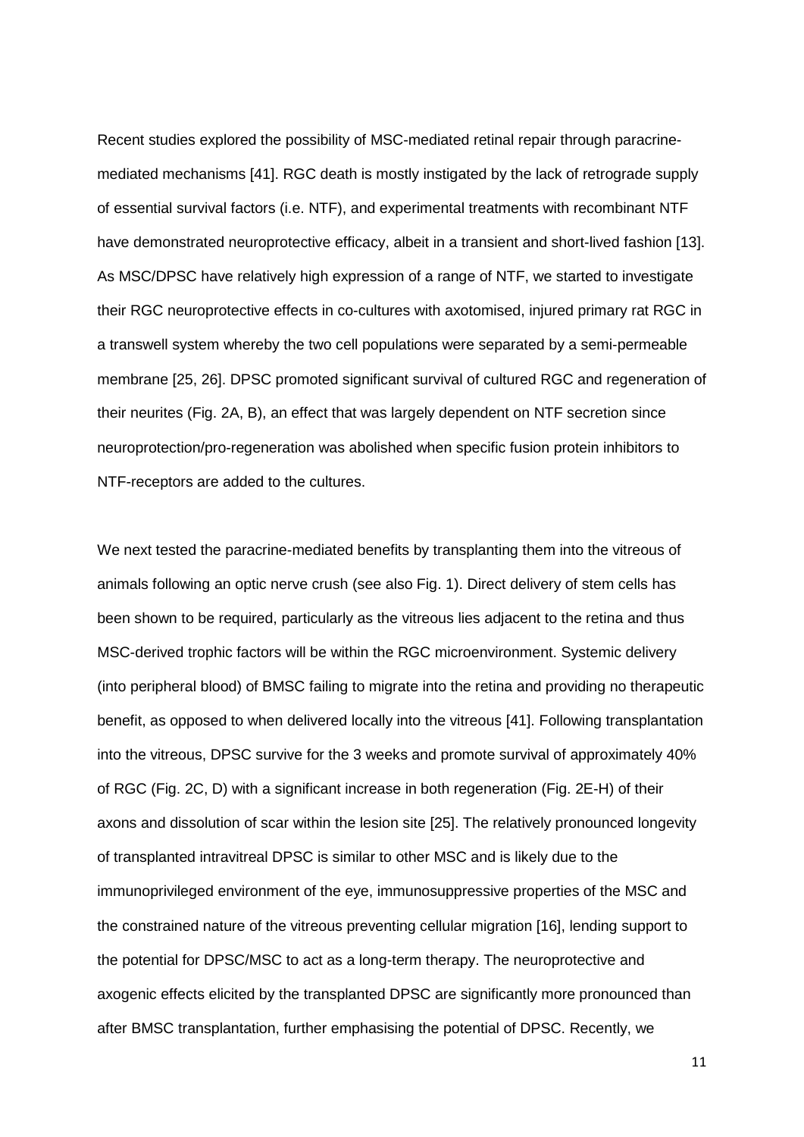Recent studies explored the possibility of MSC-mediated retinal repair through paracrinemediated mechanisms [41]. RGC death is mostly instigated by the lack of retrograde supply of essential survival factors (i.e. NTF), and experimental treatments with recombinant NTF have demonstrated neuroprotective efficacy, albeit in a transient and short-lived fashion [13]. As MSC/DPSC have relatively high expression of a range of NTF, we started to investigate their RGC neuroprotective effects in co-cultures with axotomised, injured primary rat RGC in a transwell system whereby the two cell populations were separated by a semi-permeable membrane [25, 26]. DPSC promoted significant survival of cultured RGC and regeneration of their neurites (Fig. 2A, B), an effect that was largely dependent on NTF secretion since neuroprotection/pro-regeneration was abolished when specific fusion protein inhibitors to NTF-receptors are added to the cultures.

We next tested the paracrine-mediated benefits by transplanting them into the vitreous of animals following an optic nerve crush (see also Fig. 1). Direct delivery of stem cells has been shown to be required, particularly as the vitreous lies adjacent to the retina and thus MSC-derived trophic factors will be within the RGC microenvironment. Systemic delivery (into peripheral blood) of BMSC failing to migrate into the retina and providing no therapeutic benefit, as opposed to when delivered locally into the vitreous [41]. Following transplantation into the vitreous, DPSC survive for the 3 weeks and promote survival of approximately 40% of RGC (Fig. 2C, D) with a significant increase in both regeneration (Fig. 2E-H) of their axons and dissolution of scar within the lesion site [25]. The relatively pronounced longevity of transplanted intravitreal DPSC is similar to other MSC and is likely due to the immunoprivileged environment of the eye, immunosuppressive properties of the MSC and the constrained nature of the vitreous preventing cellular migration [16], lending support to the potential for DPSC/MSC to act as a long-term therapy. The neuroprotective and axogenic effects elicited by the transplanted DPSC are significantly more pronounced than after BMSC transplantation, further emphasising the potential of DPSC. Recently, we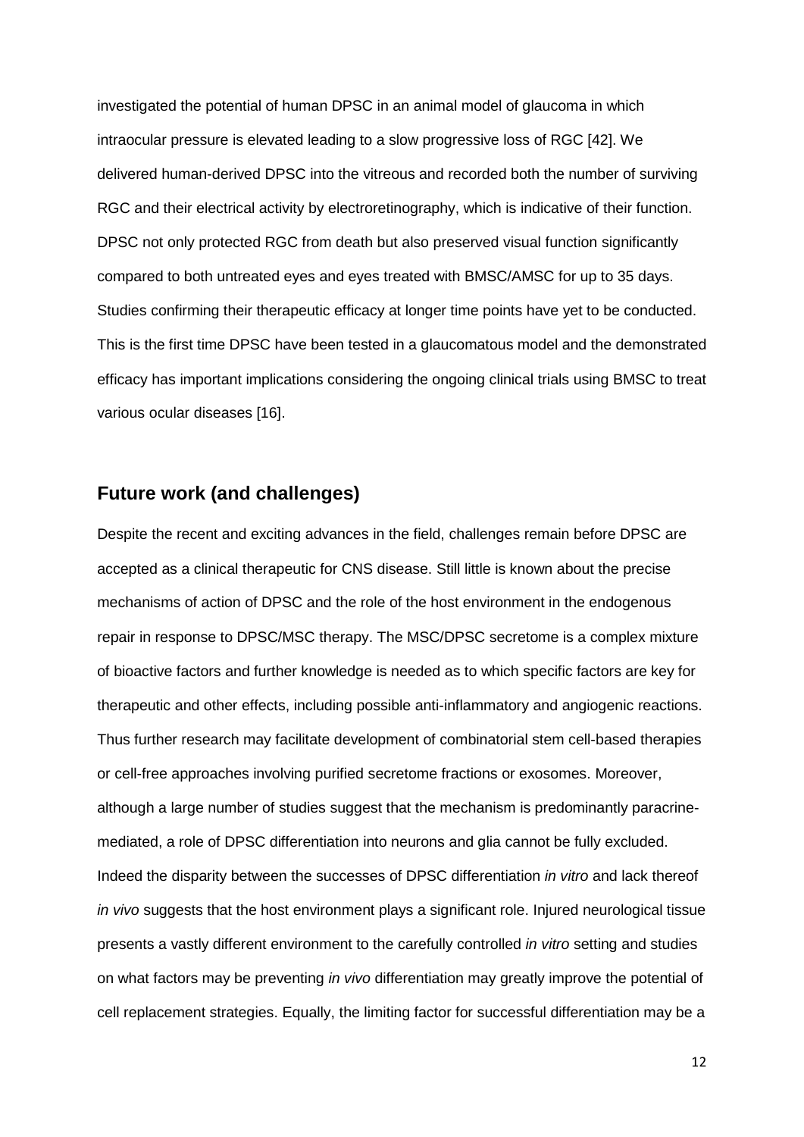investigated the potential of human DPSC in an animal model of glaucoma in which intraocular pressure is elevated leading to a slow progressive loss of RGC [42]. We delivered human-derived DPSC into the vitreous and recorded both the number of surviving RGC and their electrical activity by electroretinography, which is indicative of their function. DPSC not only protected RGC from death but also preserved visual function significantly compared to both untreated eyes and eyes treated with BMSC/AMSC for up to 35 days. Studies confirming their therapeutic efficacy at longer time points have yet to be conducted. This is the first time DPSC have been tested in a glaucomatous model and the demonstrated efficacy has important implications considering the ongoing clinical trials using BMSC to treat various ocular diseases [16].

#### **Future work (and challenges)**

Despite the recent and exciting advances in the field, challenges remain before DPSC are accepted as a clinical therapeutic for CNS disease. Still little is known about the precise mechanisms of action of DPSC and the role of the host environment in the endogenous repair in response to DPSC/MSC therapy. The MSC/DPSC secretome is a complex mixture of bioactive factors and further knowledge is needed as to which specific factors are key for therapeutic and other effects, including possible anti-inflammatory and angiogenic reactions. Thus further research may facilitate development of combinatorial stem cell-based therapies or cell-free approaches involving purified secretome fractions or exosomes. Moreover, although a large number of studies suggest that the mechanism is predominantly paracrinemediated, a role of DPSC differentiation into neurons and glia cannot be fully excluded. Indeed the disparity between the successes of DPSC differentiation *in vitro* and lack thereof *in vivo* suggests that the host environment plays a significant role. Injured neurological tissue presents a vastly different environment to the carefully controlled *in vitro* setting and studies on what factors may be preventing *in vivo* differentiation may greatly improve the potential of cell replacement strategies. Equally, the limiting factor for successful differentiation may be a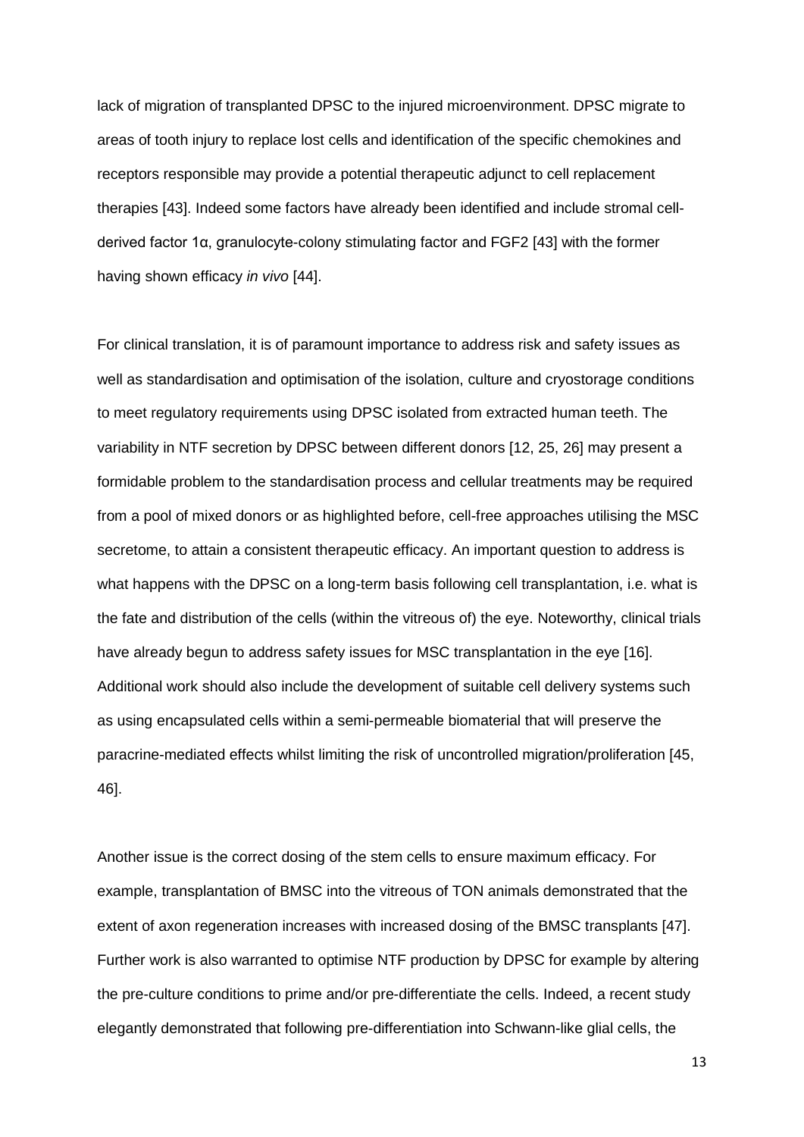lack of migration of transplanted DPSC to the injured microenvironment. DPSC migrate to areas of tooth injury to replace lost cells and identification of the specific chemokines and receptors responsible may provide a potential therapeutic adjunct to cell replacement therapies [43]. Indeed some factors have already been identified and include stromal cellderived factor 1α, granulocyte-colony stimulating factor and FGF2 [43] with the former having shown efficacy *in vivo* [44].

For clinical translation, it is of paramount importance to address risk and safety issues as well as standardisation and optimisation of the isolation, culture and cryostorage conditions to meet regulatory requirements using DPSC isolated from extracted human teeth. The variability in NTF secretion by DPSC between different donors [12, 25, 26] may present a formidable problem to the standardisation process and cellular treatments may be required from a pool of mixed donors or as highlighted before, cell-free approaches utilising the MSC secretome, to attain a consistent therapeutic efficacy. An important question to address is what happens with the DPSC on a long-term basis following cell transplantation, i.e. what is the fate and distribution of the cells (within the vitreous of) the eye. Noteworthy, clinical trials have already begun to address safety issues for MSC transplantation in the eye [16]. Additional work should also include the development of suitable cell delivery systems such as using encapsulated cells within a semi-permeable biomaterial that will preserve the paracrine-mediated effects whilst limiting the risk of uncontrolled migration/proliferation [45, 46].

Another issue is the correct dosing of the stem cells to ensure maximum efficacy. For example, transplantation of BMSC into the vitreous of TON animals demonstrated that the extent of axon regeneration increases with increased dosing of the BMSC transplants [47]. Further work is also warranted to optimise NTF production by DPSC for example by altering the pre-culture conditions to prime and/or pre-differentiate the cells. Indeed, a recent study elegantly demonstrated that following pre-differentiation into Schwann-like glial cells, the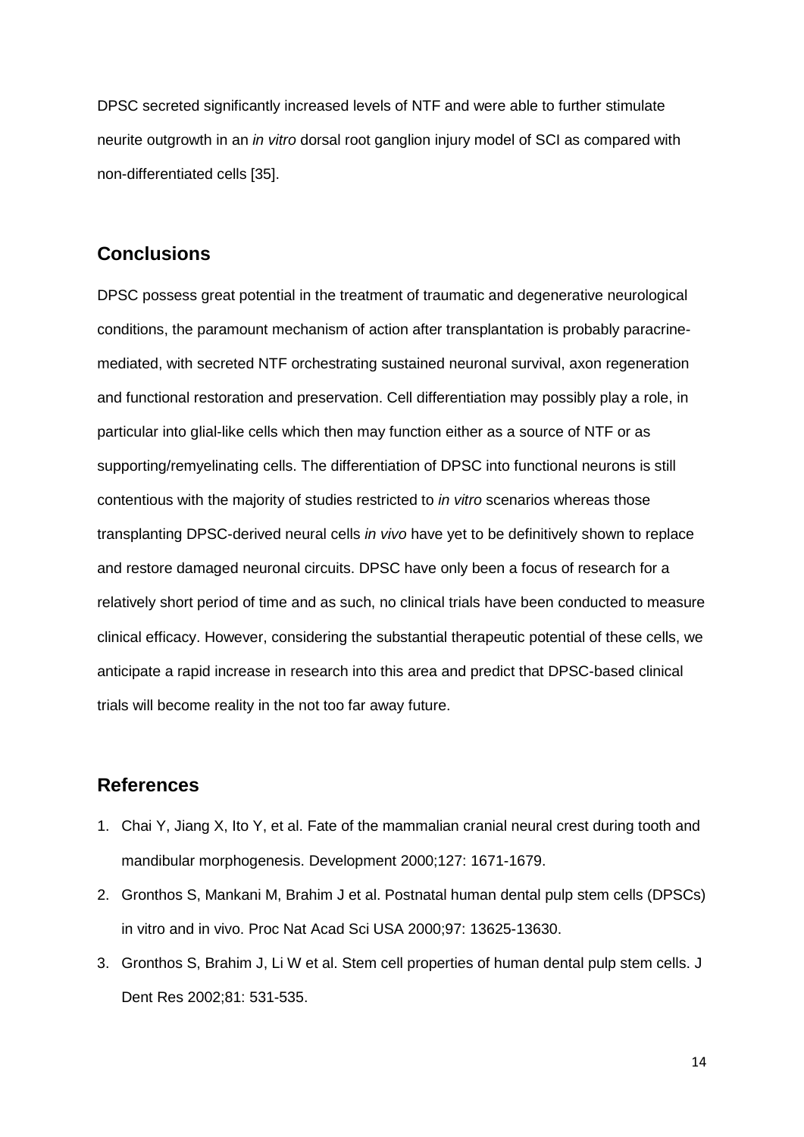DPSC secreted significantly increased levels of NTF and were able to further stimulate neurite outgrowth in an *in vitro* dorsal root ganglion injury model of SCI as compared with non-differentiated cells [35].

#### **Conclusions**

DPSC possess great potential in the treatment of traumatic and degenerative neurological conditions, the paramount mechanism of action after transplantation is probably paracrinemediated, with secreted NTF orchestrating sustained neuronal survival, axon regeneration and functional restoration and preservation. Cell differentiation may possibly play a role, in particular into glial-like cells which then may function either as a source of NTF or as supporting/remyelinating cells. The differentiation of DPSC into functional neurons is still contentious with the majority of studies restricted to *in vitro* scenarios whereas those transplanting DPSC-derived neural cells *in vivo* have yet to be definitively shown to replace and restore damaged neuronal circuits. DPSC have only been a focus of research for a relatively short period of time and as such, no clinical trials have been conducted to measure clinical efficacy. However, considering the substantial therapeutic potential of these cells, we anticipate a rapid increase in research into this area and predict that DPSC-based clinical trials will become reality in the not too far away future.

## **References**

- 1. Chai Y, Jiang X, Ito Y, et al. Fate of the mammalian cranial neural crest during tooth and mandibular morphogenesis. Development 2000;127: 1671-1679.
- 2. Gronthos S, Mankani M, Brahim J et al. Postnatal human dental pulp stem cells (DPSCs) in vitro and in vivo. Proc Nat Acad Sci USA 2000;97: 13625-13630.
- 3. Gronthos S, Brahim J, Li W et al. Stem cell properties of human dental pulp stem cells. J Dent Res 2002;81: 531-535.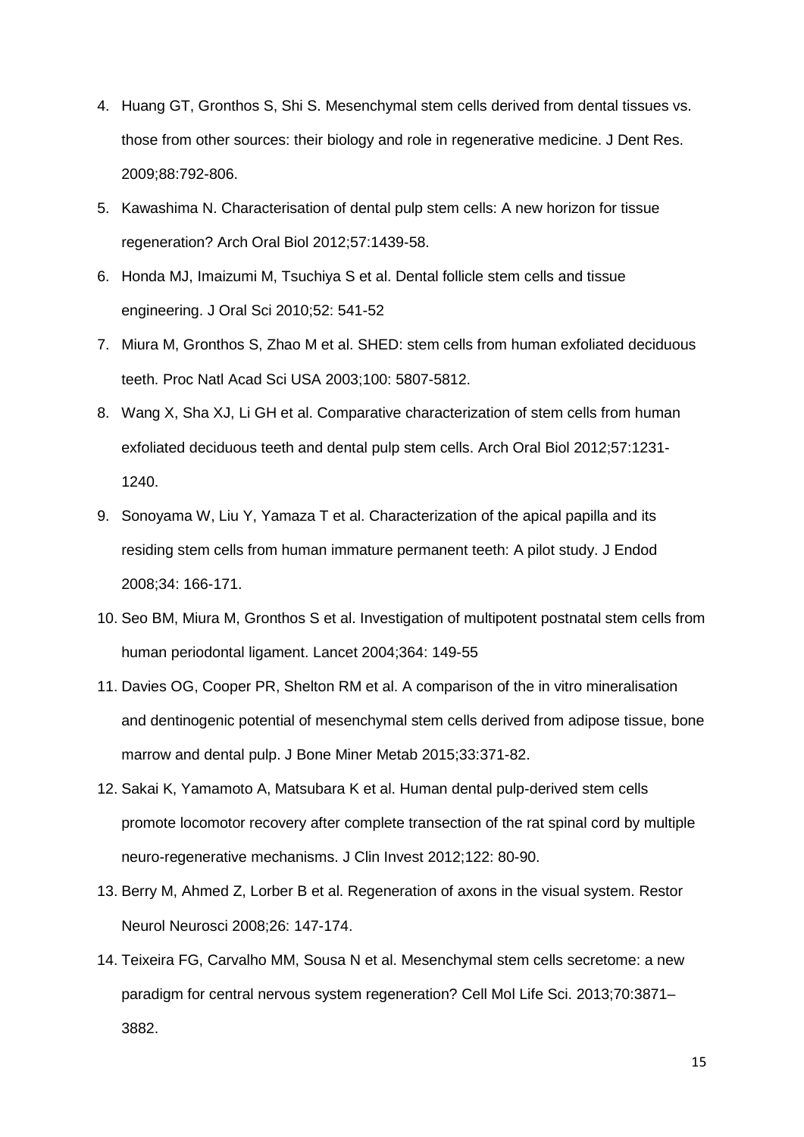- 4. Huang GT, Gronthos S, Shi S. Mesenchymal stem cells derived from dental tissues vs. those from other sources: their biology and role in regenerative medicine. J Dent Res. 2009;88:792-806.
- 5. Kawashima N. Characterisation of dental pulp stem cells: A new horizon for tissue regeneration? Arch Oral Biol 2012;57:1439-58.
- 6. Honda MJ, Imaizumi M, Tsuchiya S et al. Dental follicle stem cells and tissue engineering. J Oral Sci 2010;52: 541-52
- 7. Miura M, Gronthos S, Zhao M et al. SHED: stem cells from human exfoliated deciduous teeth. Proc Natl Acad Sci USA 2003;100: 5807-5812.
- 8. Wang X, Sha XJ, Li GH et al. Comparative characterization of stem cells from human exfoliated deciduous teeth and dental pulp stem cells. Arch Oral Biol 2012;57:1231- 1240.
- 9. Sonoyama W, Liu Y, Yamaza T et al. Characterization of the apical papilla and its residing stem cells from human immature permanent teeth: A pilot study. J Endod 2008;34: 166-171.
- 10. Seo BM, Miura M, Gronthos S et al. Investigation of multipotent postnatal stem cells from human periodontal ligament. Lancet 2004;364: 149-55
- 11. Davies OG, Cooper PR, Shelton RM et al. A comparison of the in vitro mineralisation and dentinogenic potential of mesenchymal stem cells derived from adipose tissue, bone marrow and dental pulp. J Bone Miner Metab 2015;33:371-82.
- 12. Sakai K, Yamamoto A, Matsubara K et al. Human dental pulp-derived stem cells promote locomotor recovery after complete transection of the rat spinal cord by multiple neuro-regenerative mechanisms. J Clin Invest 2012;122: 80-90.
- 13. Berry M, Ahmed Z, Lorber B et al. Regeneration of axons in the visual system. Restor Neurol Neurosci 2008;26: 147-174.
- 14. Teixeira FG, Carvalho MM, Sousa N et al. Mesenchymal stem cells secretome: a new paradigm for central nervous system regeneration? Cell Mol Life Sci. 2013;70:3871– 3882.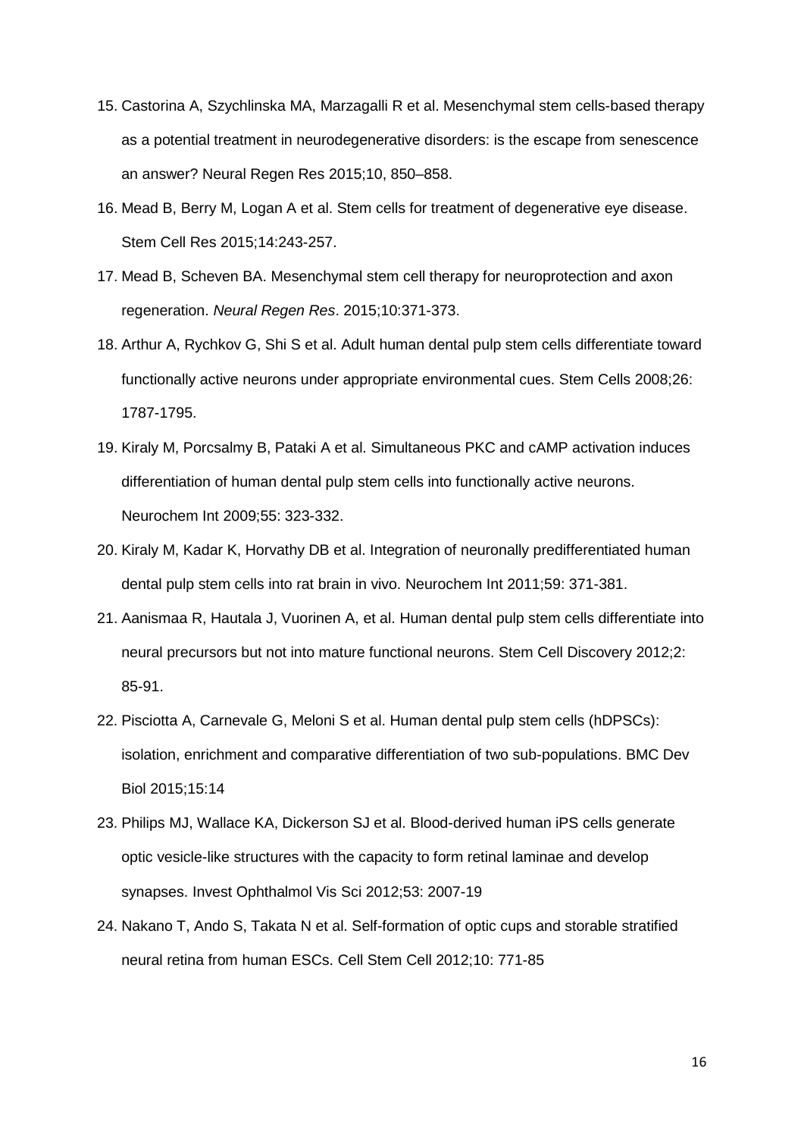- 15. Castorina A, Szychlinska MA, Marzagalli R et al. Mesenchymal stem cells-based therapy as a potential treatment in neurodegenerative disorders: is the escape from senescence an answer? Neural Regen Res 2015;10, 850–858.
- 16. Mead B, Berry M, Logan A et al. Stem cells for treatment of degenerative eye disease. Stem Cell Res 2015;14:243-257.
- 17. Mead B, Scheven BA. Mesenchymal stem cell therapy for neuroprotection and axon regeneration. *Neural Regen Res*. 2015;10:371-373.
- 18. Arthur A, Rychkov G, Shi S et al. Adult human dental pulp stem cells differentiate toward functionally active neurons under appropriate environmental cues. Stem Cells 2008;26: 1787-1795.
- 19. Kiraly M, Porcsalmy B, Pataki A et al. Simultaneous PKC and cAMP activation induces differentiation of human dental pulp stem cells into functionally active neurons. Neurochem Int 2009;55: 323-332.
- 20. Kiraly M, Kadar K, Horvathy DB et al. Integration of neuronally predifferentiated human dental pulp stem cells into rat brain in vivo. Neurochem Int 2011;59: 371-381.
- 21. Aanismaa R, Hautala J, Vuorinen A, et al. Human dental pulp stem cells differentiate into neural precursors but not into mature functional neurons. Stem Cell Discovery 2012;2: 85-91.
- 22. Pisciotta A, Carnevale G, Meloni S et al. Human dental pulp stem cells (hDPSCs): isolation, enrichment and comparative differentiation of two sub-populations. BMC Dev Biol 2015;15:14
- 23. Philips MJ, Wallace KA, Dickerson SJ et al. Blood-derived human iPS cells generate optic vesicle-like structures with the capacity to form retinal laminae and develop synapses. Invest Ophthalmol Vis Sci 2012;53: 2007-19
- 24. Nakano T, Ando S, Takata N et al. Self-formation of optic cups and storable stratified neural retina from human ESCs. Cell Stem Cell 2012;10: 771-85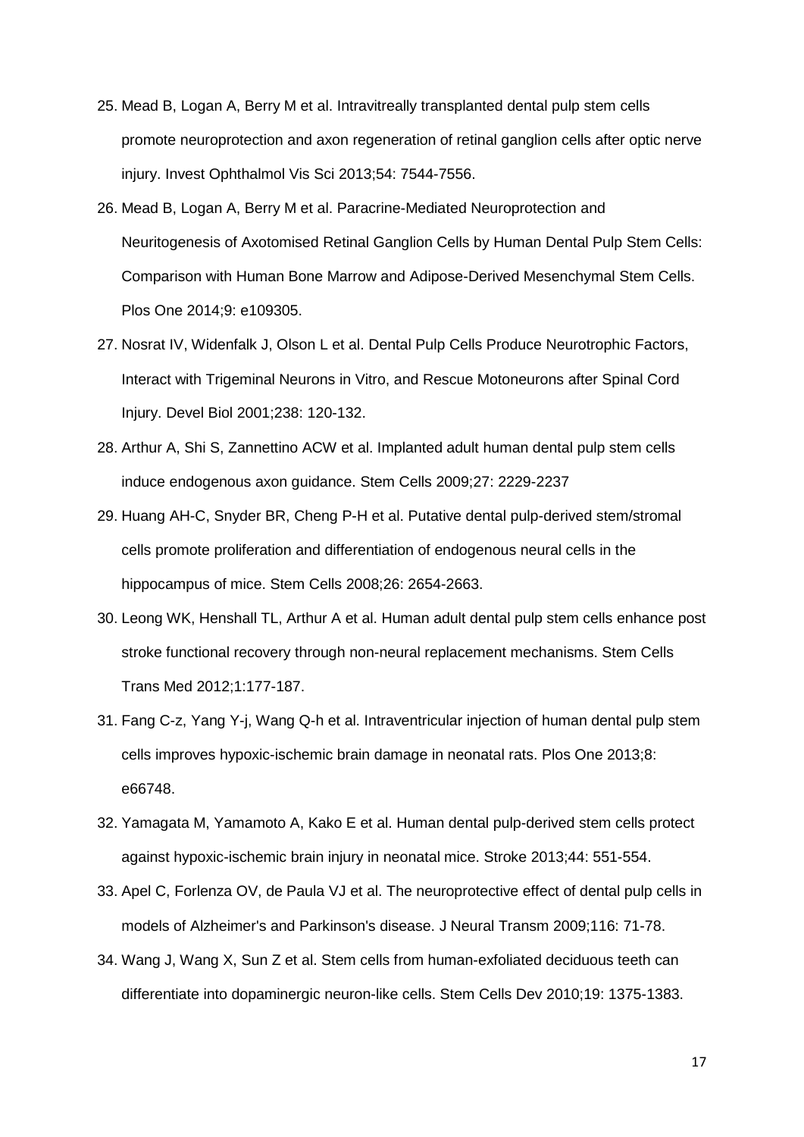- 25. Mead B, Logan A, Berry M et al. Intravitreally transplanted dental pulp stem cells promote neuroprotection and axon regeneration of retinal ganglion cells after optic nerve injury. Invest Ophthalmol Vis Sci 2013;54: 7544-7556.
- 26. Mead B, Logan A, Berry M et al. Paracrine-Mediated Neuroprotection and Neuritogenesis of Axotomised Retinal Ganglion Cells by Human Dental Pulp Stem Cells: Comparison with Human Bone Marrow and Adipose-Derived Mesenchymal Stem Cells. Plos One 2014;9: e109305.
- 27. Nosrat IV, Widenfalk J, Olson L et al. Dental Pulp Cells Produce Neurotrophic Factors, Interact with Trigeminal Neurons in Vitro, and Rescue Motoneurons after Spinal Cord Injury. Devel Biol 2001;238: 120-132.
- 28. Arthur A, Shi S, Zannettino ACW et al. Implanted adult human dental pulp stem cells induce endogenous axon guidance. Stem Cells 2009;27: 2229-2237
- 29. Huang AH-C, Snyder BR, Cheng P-H et al. Putative dental pulp-derived stem/stromal cells promote proliferation and differentiation of endogenous neural cells in the hippocampus of mice. Stem Cells 2008;26: 2654-2663.
- 30. Leong WK, Henshall TL, Arthur A et al. Human adult dental pulp stem cells enhance post stroke functional recovery through non-neural replacement mechanisms. Stem Cells Trans Med 2012;1:177-187.
- 31. Fang C-z, Yang Y-j, Wang Q-h et al. Intraventricular injection of human dental pulp stem cells improves hypoxic-ischemic brain damage in neonatal rats. Plos One 2013;8: e66748.
- 32. Yamagata M, Yamamoto A, Kako E et al. Human dental pulp-derived stem cells protect against hypoxic-ischemic brain injury in neonatal mice. Stroke 2013;44: 551-554.
- 33. Apel C, Forlenza OV, de Paula VJ et al. The neuroprotective effect of dental pulp cells in models of Alzheimer's and Parkinson's disease. J Neural Transm 2009;116: 71-78.
- 34. Wang J, Wang X, Sun Z et al. Stem cells from human-exfoliated deciduous teeth can differentiate into dopaminergic neuron-like cells. Stem Cells Dev 2010;19: 1375-1383.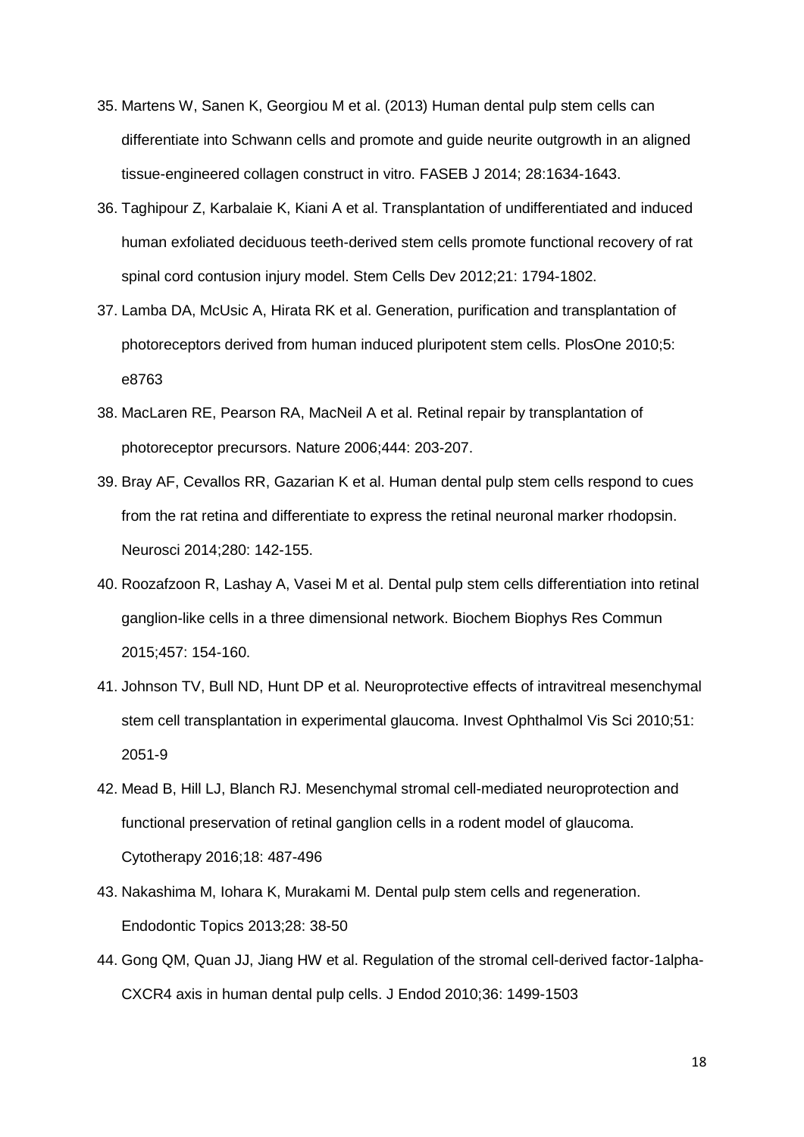- 35. Martens W, Sanen K, Georgiou M et al. (2013) Human dental pulp stem cells can differentiate into Schwann cells and promote and guide neurite outgrowth in an aligned tissue-engineered collagen construct in vitro. FASEB J 2014; 28:1634-1643.
- 36. Taghipour Z, Karbalaie K, Kiani A et al. Transplantation of undifferentiated and induced human exfoliated deciduous teeth-derived stem cells promote functional recovery of rat spinal cord contusion injury model. Stem Cells Dev 2012;21: 1794-1802.
- 37. Lamba DA, McUsic A, Hirata RK et al. Generation, purification and transplantation of photoreceptors derived from human induced pluripotent stem cells. PlosOne 2010;5: e8763
- 38. MacLaren RE, Pearson RA, MacNeil A et al. Retinal repair by transplantation of photoreceptor precursors. Nature 2006;444: 203-207.
- 39. Bray AF, Cevallos RR, Gazarian K et al. Human dental pulp stem cells respond to cues from the rat retina and differentiate to express the retinal neuronal marker rhodopsin. Neurosci 2014;280: 142-155.
- 40. Roozafzoon R, Lashay A, Vasei M et al. Dental pulp stem cells differentiation into retinal ganglion-like cells in a three dimensional network. Biochem Biophys Res Commun 2015;457: 154-160.
- 41. Johnson TV, Bull ND, Hunt DP et al. Neuroprotective effects of intravitreal mesenchymal stem cell transplantation in experimental glaucoma. Invest Ophthalmol Vis Sci 2010;51: 2051-9
- 42. Mead B, Hill LJ, Blanch RJ. Mesenchymal stromal cell-mediated neuroprotection and functional preservation of retinal ganglion cells in a rodent model of glaucoma. Cytotherapy 2016;18: 487-496
- 43. Nakashima M, Iohara K, Murakami M. Dental pulp stem cells and regeneration. Endodontic Topics 2013;28: 38-50
- 44. Gong QM, Quan JJ, Jiang HW et al. Regulation of the stromal cell-derived factor-1alpha-CXCR4 axis in human dental pulp cells. J Endod 2010;36: 1499-1503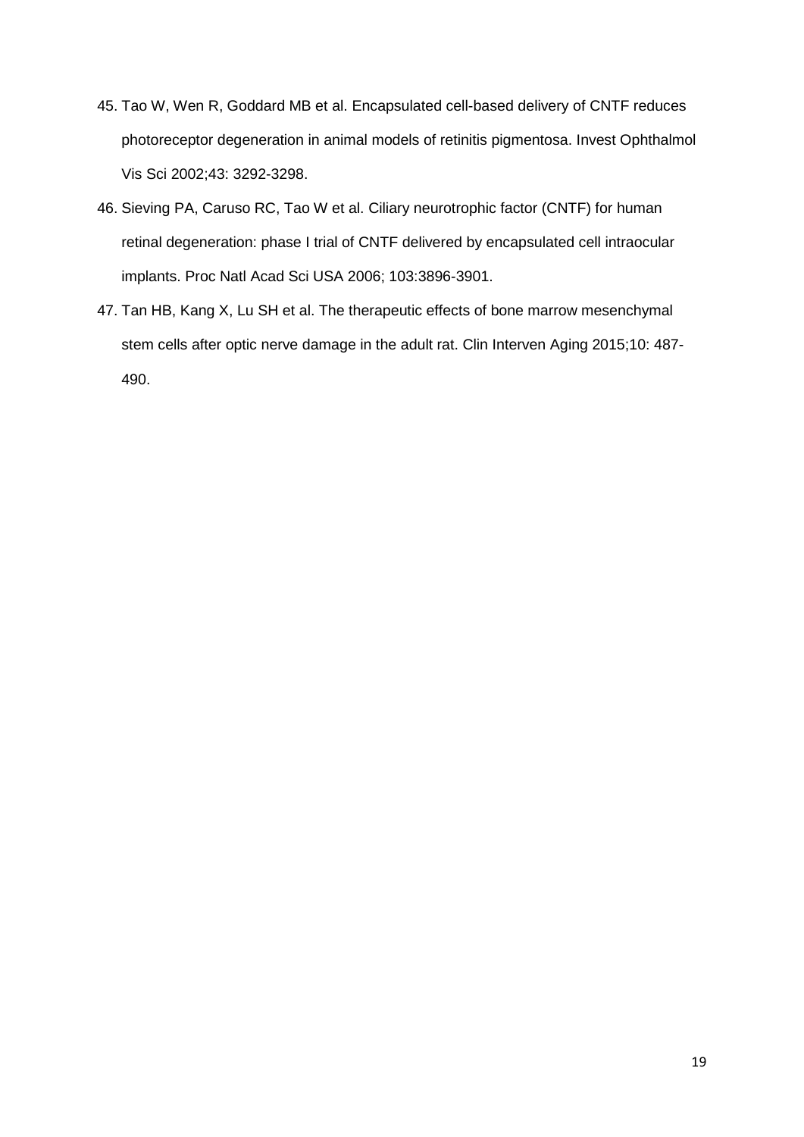- 45. Tao W, Wen R, Goddard MB et al. Encapsulated cell-based delivery of CNTF reduces photoreceptor degeneration in animal models of retinitis pigmentosa. Invest Ophthalmol Vis Sci 2002;43: 3292-3298.
- 46. Sieving PA, Caruso RC, Tao W et al. Ciliary neurotrophic factor (CNTF) for human retinal degeneration: phase I trial of CNTF delivered by encapsulated cell intraocular implants. Proc Natl Acad Sci USA 2006; 103:3896-3901.
- 47. Tan HB, Kang X, Lu SH et al. The therapeutic effects of bone marrow mesenchymal stem cells after optic nerve damage in the adult rat. Clin Interven Aging 2015;10: 487- 490.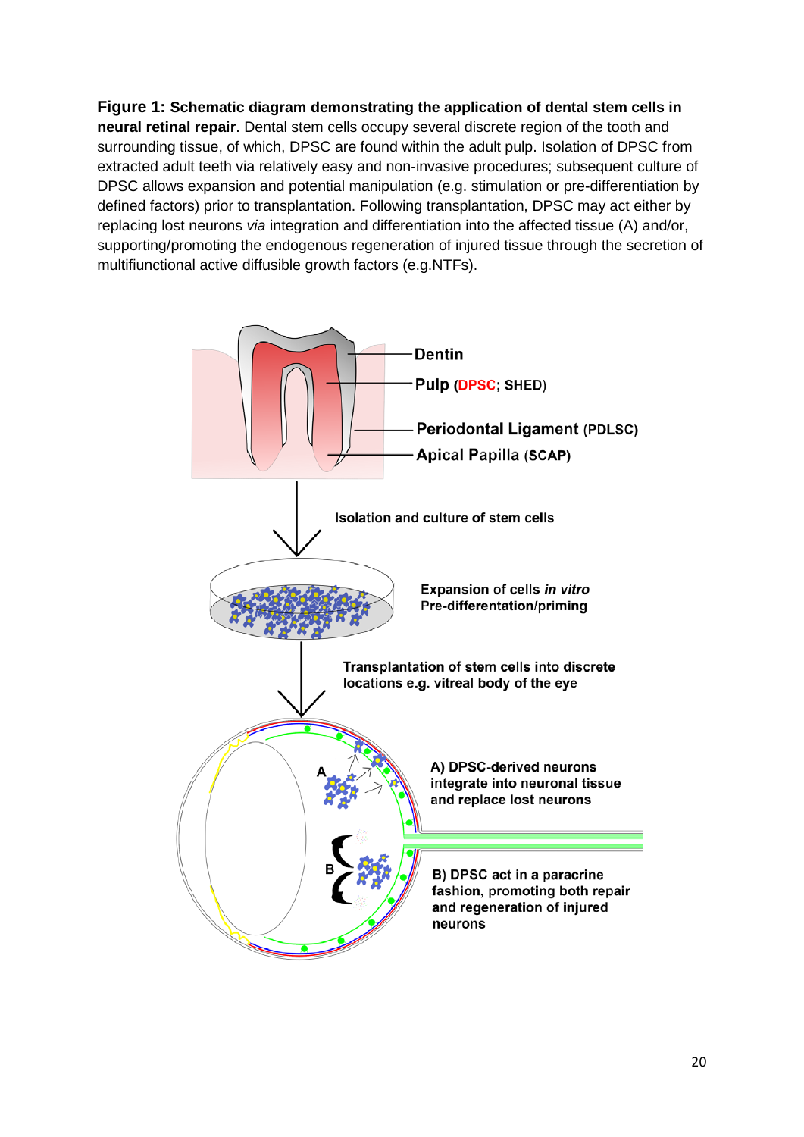**Figure 1: Schematic diagram demonstrating the application of dental stem cells in neural retinal repair**. Dental stem cells occupy several discrete region of the tooth and surrounding tissue, of which, DPSC are found within the adult pulp. Isolation of DPSC from extracted adult teeth via relatively easy and non-invasive procedures; subsequent culture of DPSC allows expansion and potential manipulation (e.g. stimulation or pre-differentiation by defined factors) prior to transplantation. Following transplantation, DPSC may act either by replacing lost neurons *via* integration and differentiation into the affected tissue (A) and/or, supporting/promoting the endogenous regeneration of injured tissue through the secretion of multifiunctional active diffusible growth factors (e.g.NTFs).